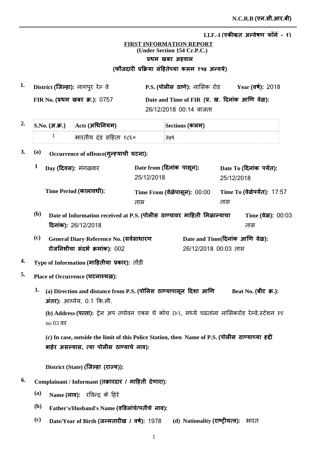## **FIRST INFORMATION REPORT (Under Section 154 Cr.P.C.) प्रथम** खबर अहवाल (फौजदारी प्रक्रिया सहितेच्या कलम १५४ अन्वर्य)

**1. P.S. District Ȫȣ ȡȯ** ȡͧ Ȫ **ǔã¡ȡ**ȡǕȯãȯ **Year FIR No.** प्रथम खबर क्र.): 0757 Date and Time of FIR (प्र. ख. दिनाक आणि वेळ): 26/12/2018 00:14 वाजता Year (वर्ष): 2018

|  | $2. \quad  {\rm S.No.}$ (अ.क.) $\quad$ $ {\rm Acts}$ (अधिनियम) | Sections (कलम) |  |  |
|--|----------------------------------------------------------------|----------------|--|--|
|  | भारतीय दंड संहिता १८६०                                         | ३७९            |  |  |

## 3. (a) Occurrence of offence(गुन्ह्याची घटना):

|     | Day (दिवस): मंगळवार                                                    | Date from (दिनांक पासून):      |                               | Date To (दिनांक पर्यंत): |  |
|-----|------------------------------------------------------------------------|--------------------------------|-------------------------------|--------------------------|--|
|     |                                                                        | 25/12/2018                     | 25/12/2018                    |                          |  |
|     | Time Period (कालावधी):                                                 | Time From (वेळेपासून): 00:00   | Time To (वेळेपर्यंत): 17:57   |                          |  |
|     |                                                                        | तास                            | तास                           |                          |  |
| (b) | Date of Information received at P.S. (पोलीस ठाण्यावर माहिती मिळाल्याचा |                                | Time $(\frac{1}{6}a)$ : 00:03 |                          |  |
|     | दिनांक): 26/12/2018                                                    |                                |                               | तास                      |  |
| (c) | General Diary Reference No. (सर्वसाधारण                                | Date and Time(दिनांक आणि वेळ): |                               |                          |  |

26/12/2018 00:03 तास

# $\boldsymbol{4.} \quad$  Type of Information (माहितीचा प्रकार): तोंडी

**रोजनिशीचा संदर्भ क्रमांक): 002** 

- **5. Place of Occurrence ȡè**
	- Beat No. (बीट) क्र.):  $1.$  (a) Direction and distance from P.S. (पोलिस) ठाण्यापासून दिशा आणि  $\overline{3}$  **Hindom** 31 and 31 and 31 and 31 and 31 and 31 and 31 and 32 and 32 and 32 and 33 and 33 and 34 and 35

(**b**) **Address (पत्ता):** ट्रेन अप तपोवन एक्स चे कोच D/1, मध्ये चढताना नासिकरोड रेल्वे,स्टेशन PF no 03

(c) In case, outside the limit of this Police Station, then Name of P.S. (पोलीस ठाण्याच्या हद्दी बाहेर असल्यास, त्या पोलीस ठाण्याचे नाव):

 $\textbf{District (State) (}$ जिल्हा (राज्य)):

- $^{6.}$  Complainant / Informant (तक्रारदार / माहिती देणारा):
	- **(a) Name (नाव):** रविन्द्र के हिरे
	- $^{\rm (b)}$  Father's/Husband's Name (वडिलांचे/पतीचे नाव):
	- $^{\rm (c)}$  **Date/Year of Birth (जन्मतारीख / वर्ष): 1978 (d) Nationality (<b>राष्ट्रीयत्व):** भारत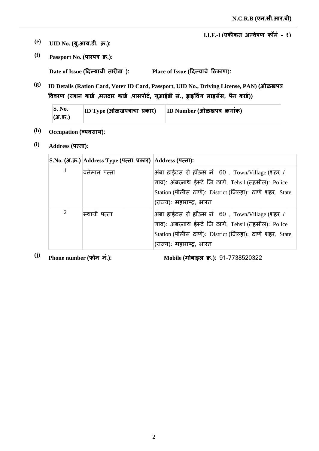- $\bf (e)$  **UID No. (यु.आय.डी. क्र.):**
- *(f)* **Passport No. (पारपत्र क्र.):**

 $\bf{Date \ of \ Issue}$  (दिल्याची तारीख ):

 $\mathbf{Place} \text{ of } \mathbf{I} \text{ s}$ sue (दिल्याचे ठिकाण):

**(g) ID Details (Ration Card, Voter ID Card, Passport, UID No., Driving License, PAN) jğ** विवरण (राशन कार्ड ,मतदार कार्ड ,पासपोर्ट, यूआईडी स., ड्राइविंग लाइसेस, पैन कार्ड))

| $\mathbf{S}$ . No. | $ ID\;Type\;$ (ओळखपत्राचा प्रकार) | ID Number (ओळखपत्र क्रमांक) |
|--------------------|-----------------------------------|-----------------------------|
| (अ.क्र.)           |                                   |                             |

- (h) **Occupation (व्यवसाय):**
- **(i) Address ×ȡ**

|   | S.No. (अ.क्र.) Address Type (पत्ता प्रकार) Address (पत्ता): |                                                                                                                                                                                                |
|---|-------------------------------------------------------------|------------------------------------------------------------------------------------------------------------------------------------------------------------------------------------------------|
| 1 | वर्तमान पत्ता                                               | अंबा हाईटस रो हाँऊस नं 60, Town/Village (शहर /<br>गाव): अंबरनाथ ईस्टे जि ठाणे, Tehsil (तहसील): Police<br>Station (पोलीस ठाणे): District (जिल्हा): ठाणे शहर, State<br>(राज्य): महाराष्ट्र, भारत |
| 2 | स्थायी पत्ता                                                | अंबा हाईटस रो हाँऊस नं 60, Town/Village (शहर /<br>गाव): अंबरनाथ ईस्टे जि ठाणे, Tehsil (तहसील): Police<br>Station (पोलीस ठाणे): District (जिल्हा): ठाणे शहर, State<br>(राज्य): महाराष्ट्र, भारत |

<sup>(j)</sup> Phone number (फोन नं.): Mobile (

Mobile (मोबाइल क्र.): 91-7738520322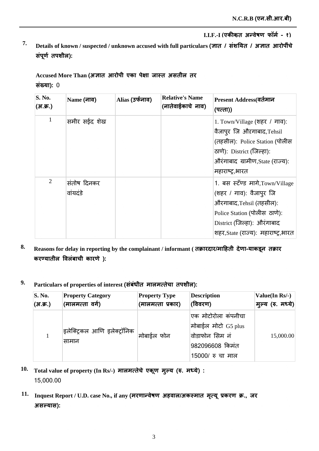*T.* Details of known / suspected / unknown accused with full particulars (ज्ञात / संशयित / अज्ञात आरोपींचे संपूर्ण तपशील):

Accused More Than (अज्ञात आरोपी एका पेक्षा जास्त असतील तर **संख्या): 0** 

| S. No.<br>(अ.क्र.) | Name (नाव)              | Alias (उर्फनाव) | <b>Relative's Name</b><br>(नातेवाईकाचे नाव) | Present Address(वर्तमान<br>(पत्ता))                                                                                                                                                          |
|--------------------|-------------------------|-----------------|---------------------------------------------|----------------------------------------------------------------------------------------------------------------------------------------------------------------------------------------------|
| 1                  | समीर सईद शेख            |                 |                                             | 1. Town/Village (शहर / गाव):<br>वैजापुर जि औऱगाबाद, Tehsil<br>(तहसील): Police Station (पोलीस<br>ठाणे): District (जिल्हा):<br>औरंगाबाद ग्रामीण, State (राज्य):<br>महाराष्ट्र,भारत             |
| $\overline{2}$     | संतोष दिनकर<br>वांयदंडे |                 |                                             | 1. बस स्टॅण्ड मागे, Town/Village<br>(शहर / गाव): वैजापुर जि<br>औरगाबाद, Tehsil (तहसील):<br>Police Station (पोलीस ठाणे):<br>District (जिल्हा): औरंगाबाद<br>शहर,State (राज्य): महाराष्ट्र,भारत |

- 8. **Reasons for delay in reporting by the complainant / informant ( तक्रारदार/माहिती देणा-याकडून तक्रार** करण्यातील विलंबाची कारणे):
- $^9$ · Particulars of properties of interest (संबंधीत मालमत्तेचा तपशील):

| <b>S. No.</b> | <b>Property Category</b>              | <b>Property Type</b> | <b>Description</b>                                                                                   | Value(In Rs/-)    |
|---------------|---------------------------------------|----------------------|------------------------------------------------------------------------------------------------------|-------------------|
| (अ.क्र.)      | <b>(मालमत्ता वर्ग)</b>                | (मालमत्ता प्रकार)    | (विवरण)                                                                                              | मुल्य (रु. मध्ये) |
| $\mathbf{1}$  | इलेक्ट्रिकल आणि इलेक्ट्रॉनिक<br>सामान | ।मोबाईल फोन          | एक मोटोरोला कंपनीचा<br>मोबाईल मोटो G5 plus<br> वोडाफोन सिम नं<br>982096608 किमंत<br>15000/ रु चा माल | 15,000.00         |

- $10$ . Total value of property (In Rs/-) मालमत्तेचे एकूण मुल्य (रु. मध्ये) : 15,000.00
- $11.$  Inquest Report / U.D. case No., if any (मरणान्वेषण अहवाल/अकस्मात मृत्यू प्रकरण क्र., जर  $3$  सल्यास):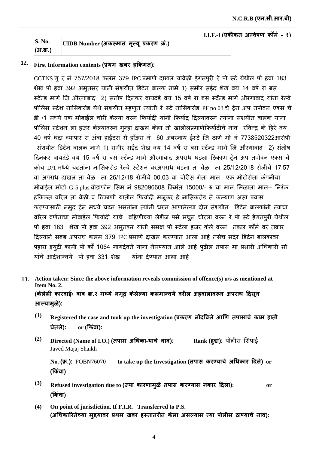| S. No.   | UIDB Number (अकस्मात मृत्यू प्रकरण क्र.) |  |  |
|----------|------------------------------------------|--|--|
| (अ.क्र.) |                                          |  |  |

# $12$ . First Information contents (प्रथम) खबर हकिगत):

CCTNS गूर नं 757/2018 कलम 379 IPC प्रमाणे दाखल यावेळी ईगतपुरी रे पो स्टे येथील पो हवा 183 शेख पो हवा 392 अमूतसर यांनी संशयीत डिटेन बालक नामे 1) समीर सईद शेख वय 14 वर्ष रा बस स्टेंन्ड मागे जि औरगाबाद 2) संतोष दिनकर वायदंडे वय 15 वर्ष रा बस स्टॅन्ड मागे औरगाबाद यांना रेल्वे पोलिस स्टेश नासिकरोड येथे संशयीत म्हणून त्यांनी रे स्टे नासिकरोड PF no 03 चे ट्रेन अप तपोवन एक्स चे डी /1 मध्ये एक मोबाईल चोरी केल्या वरुन फिर्यादी यांनी फिर्याद दिल्यावरुन त्यांना संशयीत बालक यांना पोलिस स्टेशन ला हजर केल्यावरुन गुन्हा दाखल केला तो खालीलप्रमाणेफिर्यादीचे नांव रविन्द्र के हिरे वय 40 वर्ष धंदा व्यापार रा अंबा हाईटस रो हॉऊस नं 60 अंबरनाथ ईस्टे जि ठाणे मो नं 7738520322आरोपी संशयीत डिटेन बालक नामे 1) समीर सईद शेख वय 14 वर्ष रा बस स्टेंन्ड मागे जि औरगाबाद 2) संतोष दिनकर वायदंडे वय 15 वर्ष रा बस स्टॅन्ड मागे औरगाबाद अपराध घडला ठिकाण ट्रेन अप तपोवन एक्स चे कोच D/1 मध्ये चढ़तांना नासिकरोड़ रेल्वे स्टेशन वरअपराध घड़ला ता वेळ ता 25/12/2018 रोजीचे 17.57 वा अपराध दाखल ता वेऴ ता 26/12/18 रोजीचे 00.03 वा चोरीस गेला माल एक मोटोरोला कंपनीचा मोबाईल मोटो G-5 plus वोडाफोन सिम नं 982096608 किमंत 15000/- रु चा माल मिळाला माल-- निरंक हकिकत वरिल ता वेऴी व ठिकाणी यातील फिर्यादी मजुकर हे नासिकरोड ते कल्याण असा प्रवास करण्यासाठी नमुद ट्रेन मध्ये चढत असतांना त्यांनी धरुन आणलेल्या दोन संशयीत डिटेन बालकांनी त्याचा वरिल वर्णनाचा मोबाईल फिर्यादी याचे बहिणीच्या लेडीज पर्स मधुन चोरला वरुन रे पो स्टे ईगतपुरी येथील पो हवा 183 शेख पो हवा 392 अमुतकर यांनी समक्ष पो स्टेला हजर केले वरुन तक्रार फाँर्म वर तक्रार दिल्याने सबब अपराध कलम 379 IPC प्रमाणे दाखल करण्यात आला आहे तसेच सदर डिटेन बालकावर पहारा ड्युटी कामी पो काँ 1064 नागदेवते यांना नेमण्यात आले आहे पुढील तपास मा प्रभारी अधिकारी सो यांचे आदेशान्वये पो हवा 331 शेख यांना देण्यात आला आहे

**Action taken: Since the above information reveals commission of offence(s) u/s as mentioned at 13. Item No. 2.** (केलेली कारवाईः बाब क्र.२ मध्ये नमूद केलेल्या कलमान्वये वरील अहवालावरून अपराध दिसून

आल्यामूळे):

- $^{(1)}$   $\;$  Registered the case and took up the investigation (प्रकरण *नोंदविले आणि तपासाचे काम हाती* **ȯȯ or** <u>or</u> (किंवा):
- **(2)**  $\bm{\mathrm{Directed}}$  (Name of I.O.) (तपास अधिका-याचे नाव): Javed Majaj Shaikh **Rank (हुद्दा):** पोलीस शिपाई

No**. (क्र.)**: POBN76070 to take up the Investigation (तपास करण्याचे अधिकार दिले) or (किवा)

- **(3)** Refused investigation due to (ज्या कारणामुळे तपास करण्यास नकार दिला): or (किवा)
- **(4) On point of jurisdiction, If F.I.R. Transferred to P.S.** (अधिकारितेच्या मुद्दयावर प्रथम खबर हस्तातरीत केला असल्यास त्या पोलीस ठाण्याचे नाव):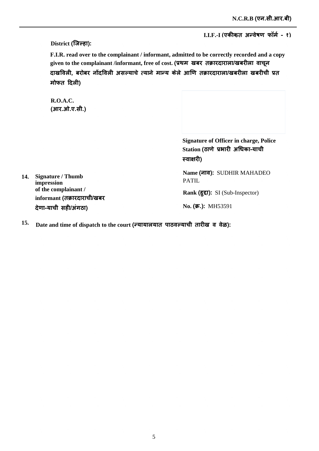I.I.F.-I (एकीकृत अन्वेषण फॉर्म - १)

District (जिल्हा):

F.I.R. read over to the complainant / informant, admitted to be correctly recorded and a copy given to the complainant /informant, free of cost. (प्रथम खबर तक्रारदाराला/खबरीला वाचून दाखविली, बरोबर नोंदविली असल्याचे त्याने मान्य केले आणि तक्रारदाराला/खबरीला खबरीची प्रत मोफत दिली)

 $R.O.A.C.$ (आर.ओ.ए.सी.)

> **Signature of Officer in charge, Police** Station (ठाणे प्रभारी अधिका-याची स्वाक्षरी)

Name (नाव): SUDHIR MAHADEO **PATIL** 

Rank (हुद्दा): SI (Sub-Inspector)

No. (क.): MH53591

14. Signature / Thumb impression of the complainant / informant (तक्रारदाराची/खबर देणा-याची सही/अंगठा)

15. Date and time of dispatch to the court (न्यायालयात पाठवल्याची तारीख व वेळ):